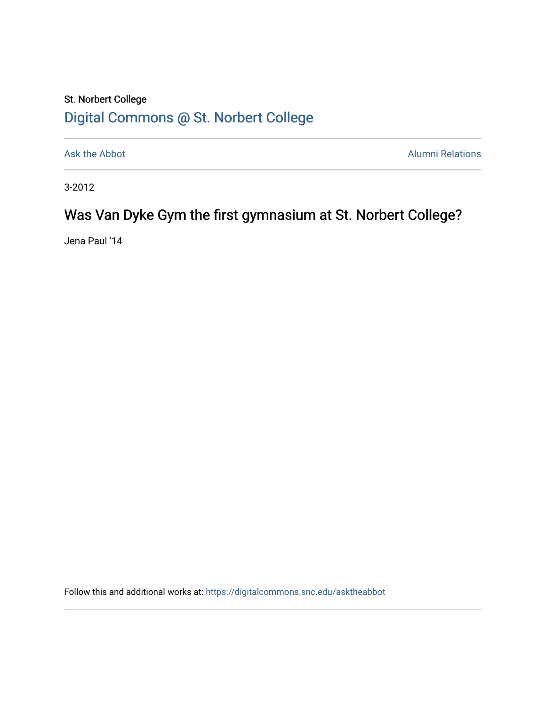## St. Norbert College [Digital Commons @ St. Norbert College](https://digitalcommons.snc.edu/)

[Ask the Abbot](https://digitalcommons.snc.edu/asktheabbot) **Alumni Relations** Alumni Relations

3-2012

## Was Van Dyke Gym the first gymnasium at St. Norbert College?

Jena Paul '14

Follow this and additional works at: [https://digitalcommons.snc.edu/asktheabbot](https://digitalcommons.snc.edu/asktheabbot?utm_source=digitalcommons.snc.edu%2Fasktheabbot%2F59&utm_medium=PDF&utm_campaign=PDFCoverPages)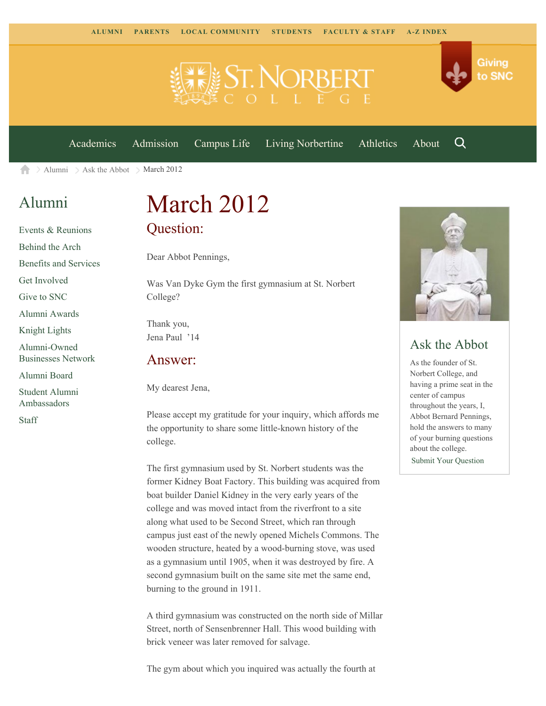

[Academics](https://www.snc.edu/academics) [Admission](https://www.snc.edu/admission) [Campus Life](https://www.snc.edu/campuslife) [Living Norbertine](https://www.snc.edu/livingnorbertine) [Athletics](https://www.snc.edu/athletics) [About](https://www.snc.edu/about)

Q

Giving

to SNC

 $\geq$  [Alumni](https://www.snc.edu/alumni/)  $\geq$  [Ask the Abbot](https://www.snc.edu/alumni/abbot/)  $\geq$  March 2012 合

### [Alumni](https://www.snc.edu/alumni/index.html)

[Events & Reunions](https://www.snc.edu/alumni/event/index.html) [Behind the Arch](https://www.snc.edu/alumni/event/behindthearch/) [Benefits and Services](https://www.snc.edu/alumni/benefits.html) [Get Involved](https://www.snc.edu/alumni/getinvolved.html) [Give to SNC](http://giving.snc.edu/) [Alumni Awards](https://www.snc.edu/alumni/awards/index.html) [Knight Lights](https://www.snc.edu/alumni/knightlights/index.html) [Alumni-Owned](https://www.snc.edu/alumni/directory/index.html) [Businesses Network](https://www.snc.edu/alumni/directory/index.html) [Alumni Board](https://www.snc.edu/alumni/alumniboard.html) [Student Alumni](https://www.snc.edu/alumni/saa.html) [Ambassadors](https://www.snc.edu/alumni/saa.html) [Staff](https://www.snc.edu/alumni/contactus.html)

# March 2012 Question:

Dear Abbot Pennings,

Was Van Dyke Gym the first gymnasium at St. Norbert College?

Thank you, Jena Paul '14

#### Answer:

My dearest Jena,

Please accept my gratitude for your inquiry, which affords me the opportunity to share some little-known history of the college.

The first gymnasium used by St. Norbert students was the former Kidney Boat Factory. This building was acquired from boat builder Daniel Kidney in the very early years of the college and was moved intact from the riverfront to a site along what used to be Second Street, which ran through campus just east of the newly opened Michels Commons. The wooden structure, heated by a wood-burning stove, was used as a gymnasium until 1905, when it was destroyed by fire. A second gymnasium built on the same site met the same end, burning to the ground in 1911.

A third gymnasium was constructed on the north side of Millar Street, north of Sensenbrenner Hall. This wood building with brick veneer was later removed for salvage.

The gym about which you inquired was actually the fourth at



#### Ask the Abbot

As the founder of St. Norbert College, and having a prime seat in the center of campus throughout the years, I, Abbot Bernard Pennings, hold the answers to many of your burning questions about the college. [Submit Your Question](https://www.snc.edu/alumni/abbot/index.html)